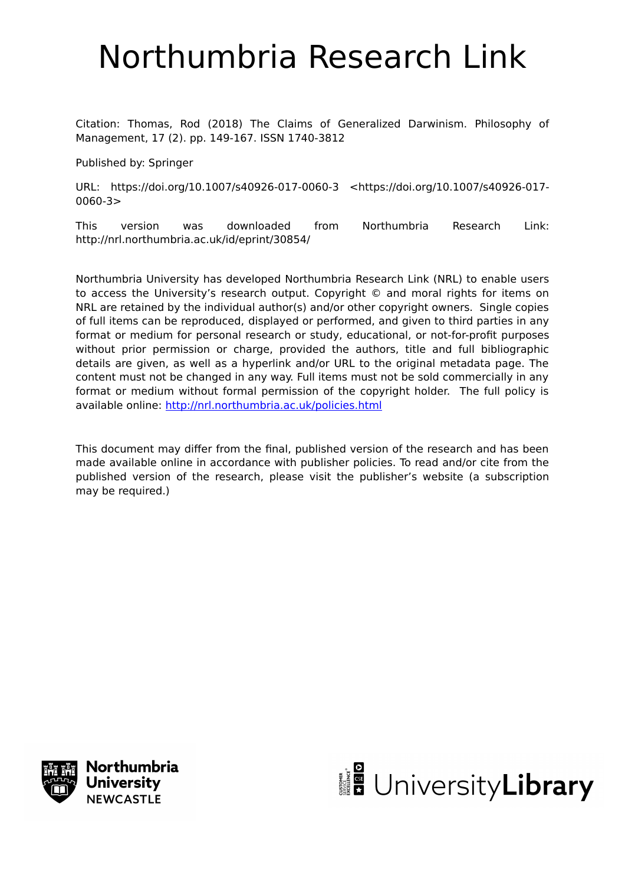# Northumbria Research Link

Citation: Thomas, Rod (2018) The Claims of Generalized Darwinism. Philosophy of Management, 17 (2). pp. 149-167. ISSN 1740-3812

Published by: Springer

URL: https://doi.org/10.1007/s40926-017-0060-3 <https://doi.org/10.1007/s40926-017- 0060-3>

This version was downloaded from Northumbria Research Link: http://nrl.northumbria.ac.uk/id/eprint/30854/

Northumbria University has developed Northumbria Research Link (NRL) to enable users to access the University's research output. Copyright © and moral rights for items on NRL are retained by the individual author(s) and/or other copyright owners. Single copies of full items can be reproduced, displayed or performed, and given to third parties in any format or medium for personal research or study, educational, or not-for-profit purposes without prior permission or charge, provided the authors, title and full bibliographic details are given, as well as a hyperlink and/or URL to the original metadata page. The content must not be changed in any way. Full items must not be sold commercially in any format or medium without formal permission of the copyright holder. The full policy is available online:<http://nrl.northumbria.ac.uk/policies.html>

This document may differ from the final, published version of the research and has been made available online in accordance with publisher policies. To read and/or cite from the published version of the research, please visit the publisher's website (a subscription may be required.)



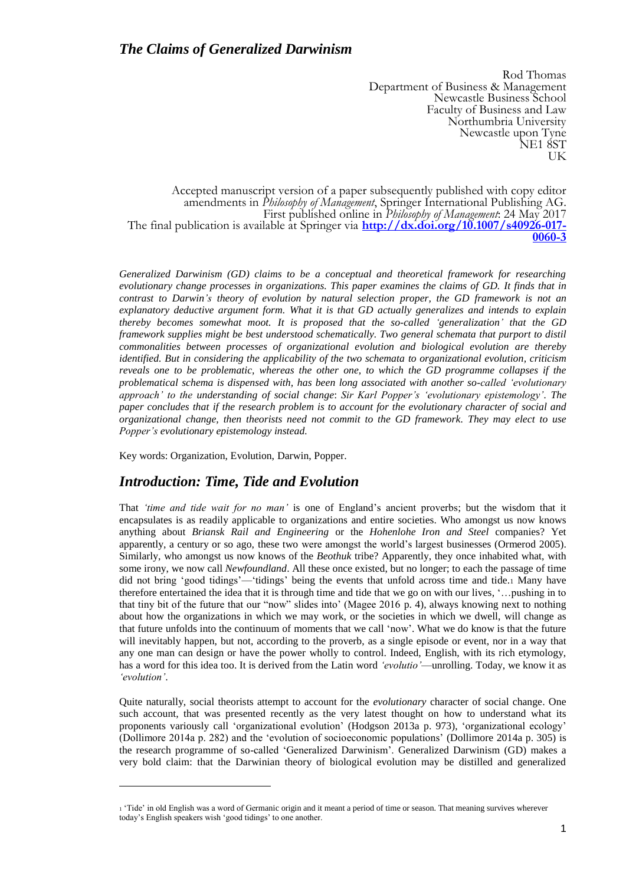## *The Claims of Generalized Darwinism*

Rod Thomas Department of Business & Management Newcastle Business School Faculty of Business and Law Northumbria University Newcastle upon Tyne NE1 8ST UK

Accepted manuscript version of a paper subsequently published with copy editor amendments in *Philosophy of Management*, Springer International Publishing AG. First published online in *Philosophy of Management*: 24 May 2017 The final publication is available at Springer via **[http://dx.doi.org/10.1007/s40926-017-](http://dx.doi.org/10.1007/s40926-017-0060-3) [0060-3](http://dx.doi.org/10.1007/s40926-017-0060-3)**

*Generalized Darwinism (GD) claims to be a conceptual and theoretical framework for researching evolutionary change processes in organizations. This paper examines the claims of GD. It finds that in contrast to Darwin's theory of evolution by natural selection proper, the GD framework is not an explanatory deductive argument form. What it is that GD actually generalizes and intends to explain thereby becomes somewhat moot. It is proposed that the so-called 'generalization' that the GD framework supplies might be best understood schematically. Two general schemata that purport to distil commonalities between processes of organizational evolution and biological evolution are thereby identified. But in considering the applicability of the two schemata to organizational evolution, criticism reveals one to be problematic, whereas the other one, to which the GD programme collapses if the problematical schema is dispensed with, has been long associated with another so-called 'evolutionary approach' to the understanding of social change*: *Sir Karl Popper's 'evolutionary epistemology'. The paper concludes that if the research problem is to account for the evolutionary character of social and organizational change, then theorists need not commit to the GD framework. They may elect to use Popper's evolutionary epistemology instead.*

Key words: Organization, Evolution, Darwin, Popper.

l

## *Introduction: Time, Tide and Evolution*

That *'time and tide wait for no man'* is one of England's ancient proverbs; but the wisdom that it encapsulates is as readily applicable to organizations and entire societies. Who amongst us now knows anything about *Briansk Rail and Engineering* or the *Hohenlohe Iron and Steel* companies? Yet apparently, a century or so ago, these two were amongst the world's largest businesses (Ormerod 2005). Similarly, who amongst us now knows of the *Beothuk* tribe? Apparently, they once inhabited what, with some irony, we now call *Newfoundland*. All these once existed, but no longer; to each the passage of time did not bring 'good tidings'—'tidings' being the events that unfold across time and tide.<sup>1</sup> Many have therefore entertained the idea that it is through time and tide that we go on with our lives, '…pushing in to that tiny bit of the future that our "now" slides into' (Magee 2016 p. 4), always knowing next to nothing about how the organizations in which we may work, or the societies in which we dwell, will change as that future unfolds into the continuum of moments that we call 'now'. What we do know is that the future will inevitably happen, but not, according to the proverb, as a single episode or event, nor in a way that any one man can design or have the power wholly to control. Indeed, English, with its rich etymology, has a word for this idea too. It is derived from the Latin word *'evolutio'*—unrolling. Today, we know it as *'evolution'*.

Quite naturally, social theorists attempt to account for the *evolutionary* character of social change. One such account, that was presented recently as the very latest thought on how to understand what its proponents variously call 'organizational evolution' (Hodgson 2013a p. 973), 'organizational ecology' (Dollimore 2014a p. 282) and the 'evolution of socioeconomic populations' (Dollimore 2014a p. 305) is the research programme of so-called 'Generalized Darwinism'. Generalized Darwinism (GD) makes a very bold claim: that the Darwinian theory of biological evolution may be distilled and generalized

<sup>1</sup> 'Tide' in old English was a word of Germanic origin and it meant a period of time or season. That meaning survives wherever today's English speakers wish 'good tidings' to one another.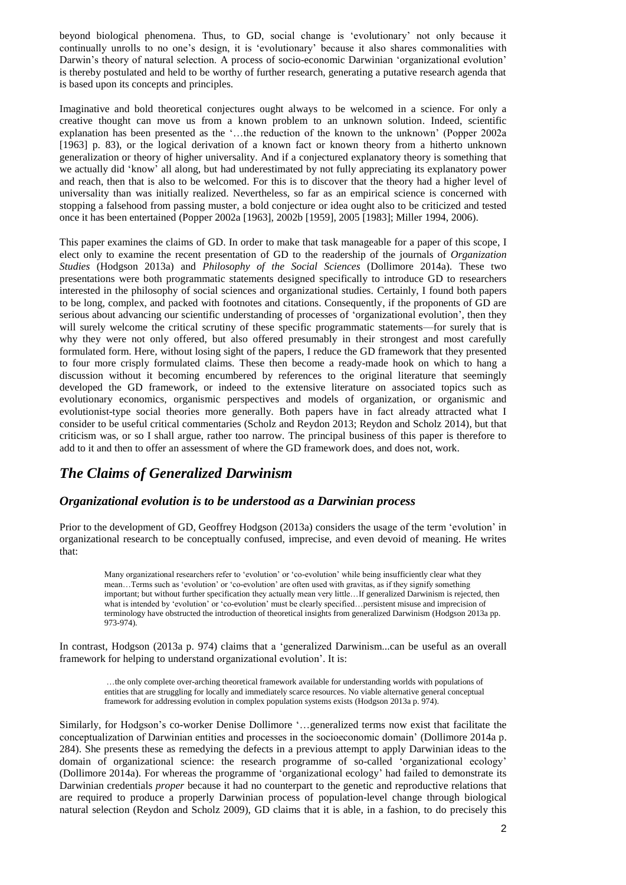beyond biological phenomena. Thus, to GD, social change is 'evolutionary' not only because it continually unrolls to no one's design, it is 'evolutionary' because it also shares commonalities with Darwin's theory of natural selection. A process of socio-economic Darwinian 'organizational evolution' is thereby postulated and held to be worthy of further research, generating a putative research agenda that is based upon its concepts and principles.

Imaginative and bold theoretical conjectures ought always to be welcomed in a science. For only a creative thought can move us from a known problem to an unknown solution. Indeed, scientific explanation has been presented as the '…the reduction of the known to the unknown' (Popper 2002a [1963] p. 83), or the logical derivation of a known fact or known theory from a hitherto unknown generalization or theory of higher universality. And if a conjectured explanatory theory is something that we actually did 'know' all along, but had underestimated by not fully appreciating its explanatory power and reach, then that is also to be welcomed. For this is to discover that the theory had a higher level of universality than was initially realized. Nevertheless, so far as an empirical science is concerned with stopping a falsehood from passing muster, a bold conjecture or idea ought also to be criticized and tested once it has been entertained (Popper 2002a [1963], 2002b [1959], 2005 [1983]; Miller 1994, 2006).

This paper examines the claims of GD. In order to make that task manageable for a paper of this scope, I elect only to examine the recent presentation of GD to the readership of the journals of *Organization Studies* (Hodgson 2013a) and *Philosophy of the Social Sciences* (Dollimore 2014a)*.* These two presentations were both programmatic statements designed specifically to introduce GD to researchers interested in the philosophy of social sciences and organizational studies. Certainly, I found both papers to be long, complex, and packed with footnotes and citations. Consequently, if the proponents of GD are serious about advancing our scientific understanding of processes of 'organizational evolution', then they will surely welcome the critical scrutiny of these specific programmatic statements—for surely that is why they were not only offered, but also offered presumably in their strongest and most carefully formulated form. Here, without losing sight of the papers, I reduce the GD framework that they presented to four more crisply formulated claims. These then become a ready-made hook on which to hang a discussion without it becoming encumbered by references to the original literature that seemingly developed the GD framework, or indeed to the extensive literature on associated topics such as evolutionary economics, organismic perspectives and models of organization, or organismic and evolutionist-type social theories more generally. Both papers have in fact already attracted what I consider to be useful critical commentaries (Scholz and Reydon 2013; Reydon and Scholz 2014), but that criticism was, or so I shall argue, rather too narrow. The principal business of this paper is therefore to add to it and then to offer an assessment of where the GD framework does, and does not, work.

## *The Claims of Generalized Darwinism*

### *Organizational evolution is to be understood as a Darwinian process*

Prior to the development of GD, Geoffrey Hodgson (2013a) considers the usage of the term 'evolution' in organizational research to be conceptually confused, imprecise, and even devoid of meaning. He writes that:

> Many organizational researchers refer to 'evolution' or 'co-evolution' while being insufficiently clear what they mean…Terms such as 'evolution' or 'co-evolution' are often used with gravitas, as if they signify something important; but without further specification they actually mean very little…If generalized Darwinism is rejected, then what is intended by 'evolution' or 'co-evolution' must be clearly specified…persistent misuse and imprecision of terminology have obstructed the introduction of theoretical insights from generalized Darwinism (Hodgson 2013a pp. 973-974).

In contrast, Hodgson (2013a p. 974) claims that a 'generalized Darwinism...can be useful as an overall framework for helping to understand organizational evolution'. It is:

…the only complete over-arching theoretical framework available for understanding worlds with populations of entities that are struggling for locally and immediately scarce resources. No viable alternative general conceptual framework for addressing evolution in complex population systems exists (Hodgson 2013a p. 974).

Similarly, for Hodgson's co-worker Denise Dollimore '…generalized terms now exist that facilitate the conceptualization of Darwinian entities and processes in the socioeconomic domain' (Dollimore 2014a p. 284). She presents these as remedying the defects in a previous attempt to apply Darwinian ideas to the domain of organizational science: the research programme of so-called 'organizational ecology' (Dollimore 2014a). For whereas the programme of 'organizational ecology' had failed to demonstrate its Darwinian credentials *proper* because it had no counterpart to the genetic and reproductive relations that are required to produce a properly Darwinian process of population-level change through biological natural selection (Reydon and Scholz 2009), GD claims that it is able, in a fashion, to do precisely this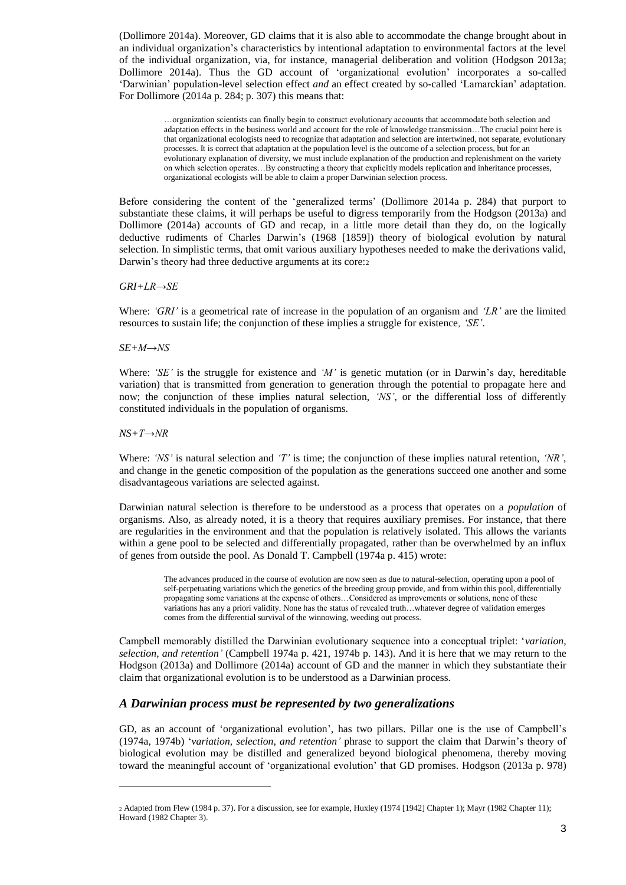(Dollimore 2014a). Moreover, GD claims that it is also able to accommodate the change brought about in an individual organization's characteristics by intentional adaptation to environmental factors at the level of the individual organization, via, for instance, managerial deliberation and volition (Hodgson 2013a; Dollimore 2014a). Thus the GD account of 'organizational evolution' incorporates a so-called 'Darwinian' population-level selection effect *and* an effect created by so-called 'Lamarckian' adaptation. For Dollimore (2014a p. 284; p. 307) this means that:

…organization scientists can finally begin to construct evolutionary accounts that accommodate both selection and adaptation effects in the business world and account for the role of knowledge transmission…The crucial point here is that organizational ecologists need to recognize that adaptation and selection are intertwined, not separate, evolutionary processes. It is correct that adaptation at the population level is the outcome of a selection process, but for an evolutionary explanation of diversity, we must include explanation of the production and replenishment on the variety on which selection operates…By constructing a theory that explicitly models replication and inheritance processes, organizational ecologists will be able to claim a proper Darwinian selection process.

Before considering the content of the 'generalized terms' (Dollimore 2014a p. 284) that purport to substantiate these claims, it will perhaps be useful to digress temporarily from the Hodgson (2013a) and Dollimore (2014a) accounts of GD and recap, in a little more detail than they do, on the logically deductive rudiments of Charles Darwin's (1968 [1859]) theory of biological evolution by natural selection. In simplistic terms, that omit various auxiliary hypotheses needed to make the derivations valid, Darwin's theory had three deductive arguments at its core:<sup>2</sup>

*GRI+LR→SE*

Where: *'GRI'* is a geometrical rate of increase in the population of an organism and *'LR'* are the limited resources to sustain life; the conjunction of these implies a struggle for existence*, 'SE'*.

*SE+M→NS*

Where: *'SE'* is the struggle for existence and *'M'* is genetic mutation (or in Darwin's day, hereditable variation) that is transmitted from generation to generation through the potential to propagate here and now; the conjunction of these implies natural selection, *'NS'*, or the differential loss of differently constituted individuals in the population of organisms.

*NS+T→NR*

l

Where: *'NS'* is natural selection and *'T'* is time; the conjunction of these implies natural retention, *'NR'*, and change in the genetic composition of the population as the generations succeed one another and some disadvantageous variations are selected against.

Darwinian natural selection is therefore to be understood as a process that operates on a *population* of organisms. Also, as already noted, it is a theory that requires auxiliary premises. For instance, that there are regularities in the environment and that the population is relatively isolated. This allows the variants within a gene pool to be selected and differentially propagated, rather than be overwhelmed by an influx of genes from outside the pool. As Donald T. Campbell (1974a p. 415) wrote:

The advances produced in the course of evolution are now seen as due to natural-selection, operating upon a pool of self-perpetuating variations which the genetics of the breeding group provide, and from within this pool, differentially propagating some variations at the expense of others…Considered as improvements or solutions, none of these variations has any a priori validity. None has the status of revealed truth…whatever degree of validation emerges comes from the differential survival of the winnowing, weeding out process.

Campbell memorably distilled the Darwinian evolutionary sequence into a conceptual triplet: '*variation, selection, and retention'* (Campbell 1974a p. 421, 1974b p. 143). And it is here that we may return to the Hodgson (2013a) and Dollimore (2014a) account of GD and the manner in which they substantiate their claim that organizational evolution is to be understood as a Darwinian process.

#### *A Darwinian process must be represented by two generalizations*

GD, as an account of 'organizational evolution', has two pillars. Pillar one is the use of Campbell's (1974a, 1974b) '*variation, selection, and retention'* phrase to support the claim that Darwin's theory of biological evolution may be distilled and generalized beyond biological phenomena, thereby moving toward the meaningful account of 'organizational evolution' that GD promises. Hodgson (2013a p. 978)

<sup>2</sup> Adapted from Flew (1984 p. 37). For a discussion, see for example, Huxley (1974 [1942] Chapter 1); Mayr (1982 Chapter 11); Howard (1982 Chapter 3).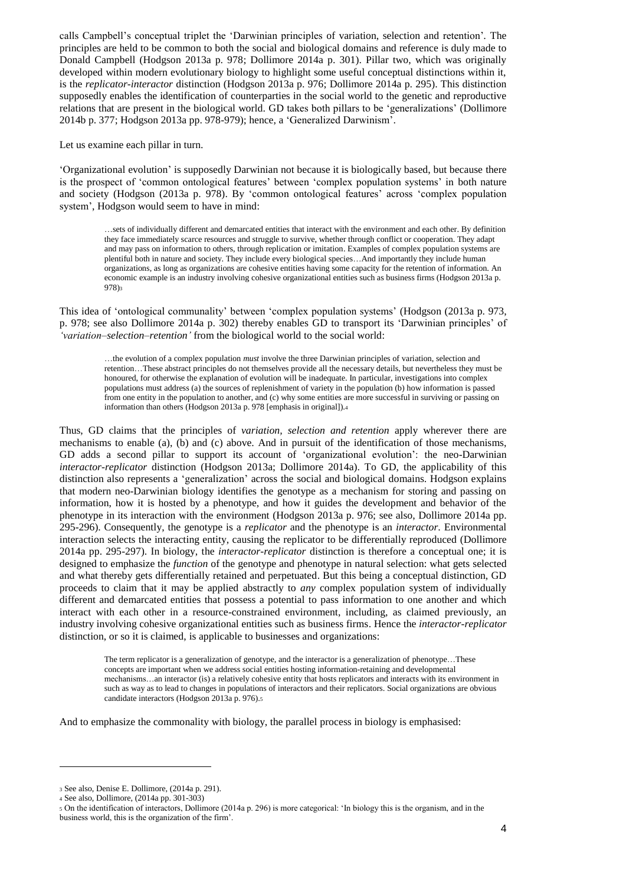calls Campbell's conceptual triplet the 'Darwinian principles of variation, selection and retention'*.* The principles are held to be common to both the social and biological domains and reference is duly made to Donald Campbell (Hodgson 2013a p. 978; Dollimore 2014a p. 301). Pillar two, which was originally developed within modern evolutionary biology to highlight some useful conceptual distinctions within it, is the *replicator-interactor* distinction (Hodgson 2013a p. 976; Dollimore 2014a p. 295). This distinction supposedly enables the identification of counterparties in the social world to the genetic and reproductive relations that are present in the biological world. GD takes both pillars to be 'generalizations' (Dollimore 2014b p. 377; Hodgson 2013a pp. 978-979); hence, a 'Generalized Darwinism'.

Let us examine each pillar in turn.

'Organizational evolution' is supposedly Darwinian not because it is biologically based, but because there is the prospect of 'common ontological features' between 'complex population systems' in both nature and society (Hodgson (2013a p. 978). By 'common ontological features' across 'complex population system', Hodgson would seem to have in mind:

> …sets of individually different and demarcated entities that interact with the environment and each other. By definition they face immediately scarce resources and struggle to survive, whether through conflict or cooperation. They adapt and may pass on information to others, through replication or imitation. Examples of complex population systems are plentiful both in nature and society. They include every biological species…And importantly they include human organizations, as long as organizations are cohesive entities having some capacity for the retention of information. An economic example is an industry involving cohesive organizational entities such as business firms (Hodgson 2013a p. 978)<sup>3</sup>

This idea of 'ontological communality' between 'complex population systems' (Hodgson (2013a p. 973, p. 978; see also Dollimore 2014a p. 302) thereby enables GD to transport its 'Darwinian principles' of *'variation–selection–retention'* from the biological world to the social world:

> …the evolution of a complex population *must* involve the three Darwinian principles of variation, selection and retention…These abstract principles do not themselves provide all the necessary details, but nevertheless they must be honoured, for otherwise the explanation of evolution will be inadequate. In particular, investigations into complex populations must address (a) the sources of replenishment of variety in the population (b) how information is passed from one entity in the population to another, and (c) why some entities are more successful in surviving or passing on information than others (Hodgson 2013a p. 978 [emphasis in original]).<sup>4</sup>

Thus, GD claims that the principles of *variation, selection and retention* apply wherever there are mechanisms to enable (a), (b) and (c) above. And in pursuit of the identification of those mechanisms, GD adds a second pillar to support its account of 'organizational evolution': the neo-Darwinian *interactor-replicator* distinction (Hodgson 2013a; Dollimore 2014a). To GD, the applicability of this distinction also represents a 'generalization' across the social and biological domains. Hodgson explains that modern neo-Darwinian biology identifies the genotype as a mechanism for storing and passing on information, how it is hosted by a phenotype, and how it guides the development and behavior of the phenotype in its interaction with the environment (Hodgson 2013a p. 976; see also, Dollimore 2014a pp. 295-296). Consequently, the genotype is a *replicator* and the phenotype is an *interactor*. Environmental interaction selects the interacting entity, causing the replicator to be differentially reproduced (Dollimore 2014a pp. 295-297). In biology, the *interactor-replicator* distinction is therefore a conceptual one; it is designed to emphasize the *function* of the genotype and phenotype in natural selection: what gets selected and what thereby gets differentially retained and perpetuated. But this being a conceptual distinction, GD proceeds to claim that it may be applied abstractly to *any* complex population system of individually different and demarcated entities that possess a potential to pass information to one another and which interact with each other in a resource-constrained environment, including, as claimed previously, an industry involving cohesive organizational entities such as business firms. Hence the *interactor-replicator* distinction, or so it is claimed, is applicable to businesses and organizations:

The term replicator is a generalization of genotype, and the interactor is a generalization of phenotype…These concepts are important when we address social entities hosting information-retaining and developmental mechanisms…an interactor (is) a relatively cohesive entity that hosts replicators and interacts with its environment in such as way as to lead to changes in populations of interactors and their replicators. Social organizations are obvious candidate interactors (Hodgson 2013a p. 976).<sup>5</sup>

And to emphasize the commonality with biology, the parallel process in biology is emphasised:

1

<sup>3</sup> See also, Denise E. Dollimore, (2014a p. 291).

<sup>4</sup> See also, Dollimore, (2014a pp. 301-303)

<sup>5</sup> On the identification of interactors, Dollimore (2014a p. 296) is more categorical: 'In biology this is the organism, and in the business world, this is the organization of the firm'.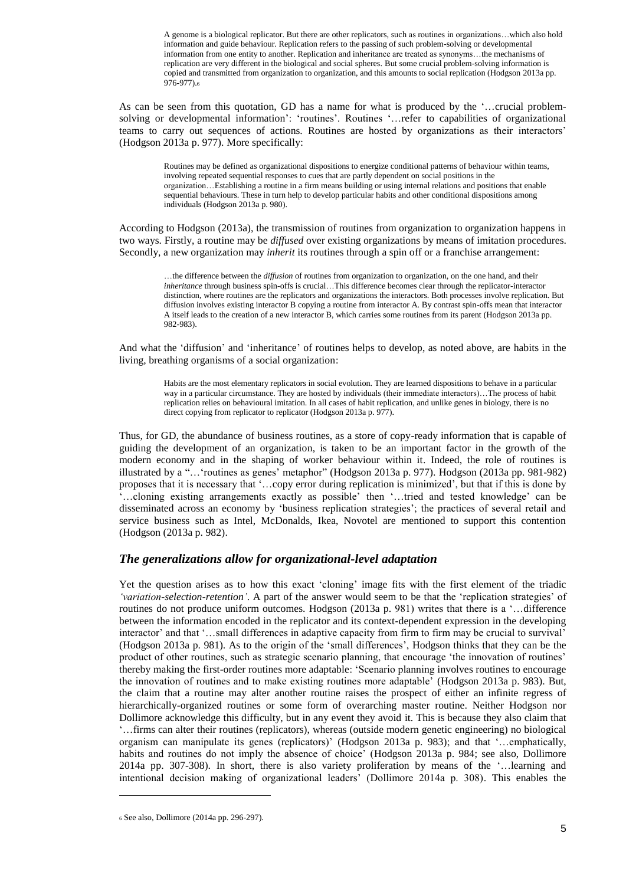A genome is a biological replicator. But there are other replicators, such as routines in organizations…which also hold information and guide behaviour. Replication refers to the passing of such problem-solving or developmental information from one entity to another. Replication and inheritance are treated as synonyms…the mechanisms of replication are very different in the biological and social spheres. But some crucial problem-solving information is copied and transmitted from organization to organization, and this amounts to social replication (Hodgson 2013a pp. 976-977).<sup>6</sup>

As can be seen from this quotation, GD has a name for what is produced by the '…crucial problemsolving or developmental information': 'routines'. Routines '... refer to capabilities of organizational teams to carry out sequences of actions. Routines are hosted by organizations as their interactors' (Hodgson 2013a p. 977). More specifically:

Routines may be defined as organizational dispositions to energize conditional patterns of behaviour within teams, involving repeated sequential responses to cues that are partly dependent on social positions in the organization…Establishing a routine in a firm means building or using internal relations and positions that enable sequential behaviours. These in turn help to develop particular habits and other conditional dispositions among individuals (Hodgson 2013a p. 980).

According to Hodgson (2013a), the transmission of routines from organization to organization happens in two ways. Firstly, a routine may be *diffused* over existing organizations by means of imitation procedures. Secondly, a new organization may *inherit* its routines through a spin off or a franchise arrangement:

…the difference between the *diffusion* of routines from organization to organization, on the one hand, and their *inheritance* through business spin-offs is crucial…This difference becomes clear through the replicator-interactor distinction, where routines are the replicators and organizations the interactors. Both processes involve replication. But diffusion involves existing interactor B copying a routine from interactor A. By contrast spin-offs mean that interactor A itself leads to the creation of a new interactor B, which carries some routines from its parent (Hodgson 2013a pp. 982-983).

And what the 'diffusion' and 'inheritance' of routines helps to develop, as noted above, are habits in the living, breathing organisms of a social organization:

Habits are the most elementary replicators in social evolution. They are learned dispositions to behave in a particular way in a particular circumstance. They are hosted by individuals (their immediate interactors)…The process of habit replication relies on behavioural imitation. In all cases of habit replication, and unlike genes in biology, there is no direct copying from replicator to replicator (Hodgson 2013a p. 977).

Thus, for GD, the abundance of business routines, as a store of copy-ready information that is capable of guiding the development of an organization, is taken to be an important factor in the growth of the modern economy and in the shaping of worker behaviour within it. Indeed, the role of routines is illustrated by a "…'routines as genes' metaphor" (Hodgson 2013a p. 977). Hodgson (2013a pp. 981-982) proposes that it is necessary that '…copy error during replication is minimized', but that if this is done by '…cloning existing arrangements exactly as possible' then '…tried and tested knowledge' can be disseminated across an economy by 'business replication strategies'; the practices of several retail and service business such as Intel, McDonalds, Ikea, Novotel are mentioned to support this contention (Hodgson (2013a p. 982).

#### *The generalizations allow for organizational-level adaptation*

Yet the question arises as to how this exact 'cloning' image fits with the first element of the triadic *'variation-selection-retention'*. A part of the answer would seem to be that the 'replication strategies' of routines do not produce uniform outcomes. Hodgson (2013a p. 981) writes that there is a '…difference between the information encoded in the replicator and its context-dependent expression in the developing interactor' and that '…small differences in adaptive capacity from firm to firm may be crucial to survival' (Hodgson 2013a p. 981). As to the origin of the 'small differences', Hodgson thinks that they can be the product of other routines, such as strategic scenario planning, that encourage 'the innovation of routines' thereby making the first-order routines more adaptable: 'Scenario planning involves routines to encourage the innovation of routines and to make existing routines more adaptable' (Hodgson 2013a p. 983). But, the claim that a routine may alter another routine raises the prospect of either an infinite regress of hierarchically-organized routines or some form of overarching master routine. Neither Hodgson nor Dollimore acknowledge this difficulty, but in any event they avoid it. This is because they also claim that '…firms can alter their routines (replicators), whereas (outside modern genetic engineering) no biological organism can manipulate its genes (replicators)' (Hodgson 2013a p. 983); and that '…emphatically, habits and routines do not imply the absence of choice' (Hodgson 2013a p. 984; see also, Dollimore 2014a pp. 307-308). In short, there is also variety proliferation by means of the '…learning and intentional decision making of organizational leaders' (Dollimore 2014a p. 308). This enables the

l

<sup>6</sup> See also, Dollimore (2014a pp. 296-297).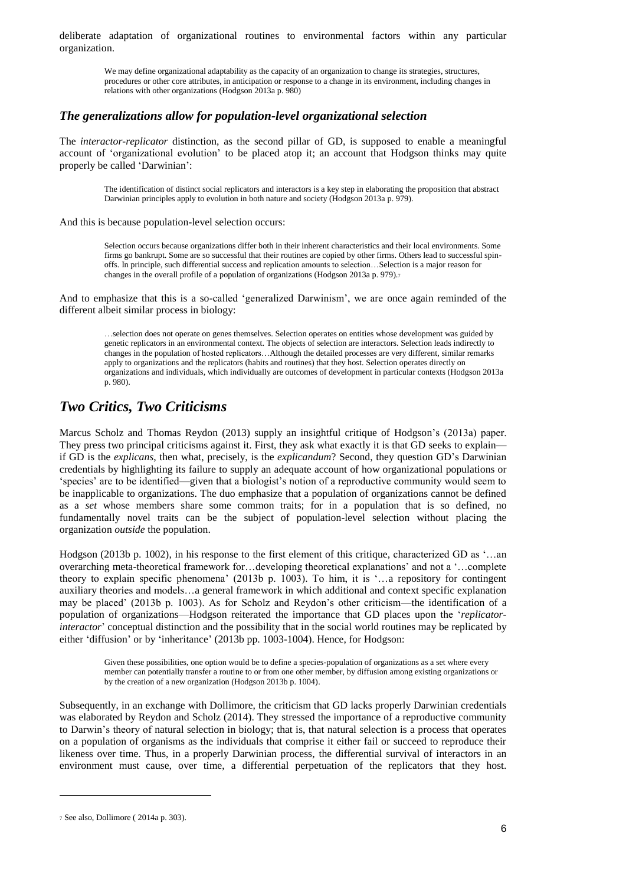deliberate adaptation of organizational routines to environmental factors within any particular organization.

> We may define organizational adaptability as the capacity of an organization to change its strategies, structures, procedures or other core attributes, in anticipation or response to a change in its environment, including changes in relations with other organizations (Hodgson 2013a p. 980)

#### *The generalizations allow for population-level organizational selection*

The *interactor-replicator* distinction, as the second pillar of GD, is supposed to enable a meaningful account of 'organizational evolution' to be placed atop it; an account that Hodgson thinks may quite properly be called 'Darwinian':

The identification of distinct social replicators and interactors is a key step in elaborating the proposition that abstract Darwinian principles apply to evolution in both nature and society (Hodgson 2013a p. 979).

And this is because population-level selection occurs:

Selection occurs because organizations differ both in their inherent characteristics and their local environments. Some firms go bankrupt. Some are so successful that their routines are copied by other firms. Others lead to successful spinoffs. In principle, such differential success and replication amounts to selection…Selection is a major reason for changes in the overall profile of a population of organizations (Hodgson 2013a p. 979).<sup>7</sup>

And to emphasize that this is a so-called 'generalized Darwinism', we are once again reminded of the different albeit similar process in biology:

…selection does not operate on genes themselves. Selection operates on entities whose development was guided by genetic replicators in an environmental context. The objects of selection are interactors. Selection leads indirectly to changes in the population of hosted replicators…Although the detailed processes are very different, similar remarks apply to organizations and the replicators (habits and routines) that they host. Selection operates directly on organizations and individuals, which individually are outcomes of development in particular contexts (Hodgson 2013a p. 980).

## *Two Critics, Two Criticisms*

Marcus Scholz and Thomas Reydon (2013) supply an insightful critique of Hodgson's (2013a) paper. They press two principal criticisms against it. First, they ask what exactly it is that GD seeks to explain if GD is the *explicans*, then what, precisely, is the *explicandum*? Second, they question GD's Darwinian credentials by highlighting its failure to supply an adequate account of how organizational populations or 'species' are to be identified—given that a biologist's notion of a reproductive community would seem to be inapplicable to organizations. The duo emphasize that a population of organizations cannot be defined as a *set* whose members share some common traits; for in a population that is so defined, no fundamentally novel traits can be the subject of population-level selection without placing the organization *outside* the population.

Hodgson (2013b p. 1002), in his response to the first element of this critique, characterized GD as '…an overarching meta-theoretical framework for…developing theoretical explanations' and not a '…complete theory to explain specific phenomena' (2013b p. 1003). To him, it is '…a repository for contingent auxiliary theories and models…a general framework in which additional and context specific explanation may be placed' (2013b p. 1003). As for Scholz and Reydon's other criticism—the identification of a population of organizations—Hodgson reiterated the importance that GD places upon the '*replicatorinteractor*' conceptual distinction and the possibility that in the social world routines may be replicated by either 'diffusion' or by 'inheritance' (2013b pp. 1003-1004). Hence, for Hodgson:

> Given these possibilities, one option would be to define a species-population of organizations as a set where every member can potentially transfer a routine to or from one other member, by diffusion among existing organizations or by the creation of a new organization (Hodgson 2013b p. 1004).

Subsequently, in an exchange with Dollimore, the criticism that GD lacks properly Darwinian credentials was elaborated by Reydon and Scholz (2014). They stressed the importance of a reproductive community to Darwin's theory of natural selection in biology; that is, that natural selection is a process that operates on a population of organisms as the individuals that comprise it either fail or succeed to reproduce their likeness over time. Thus, in a properly Darwinian process, the differential survival of interactors in an environment must cause, over time, a differential perpetuation of the replicators that they host.

1

<sup>7</sup> See also, Dollimore ( 2014a p. 303).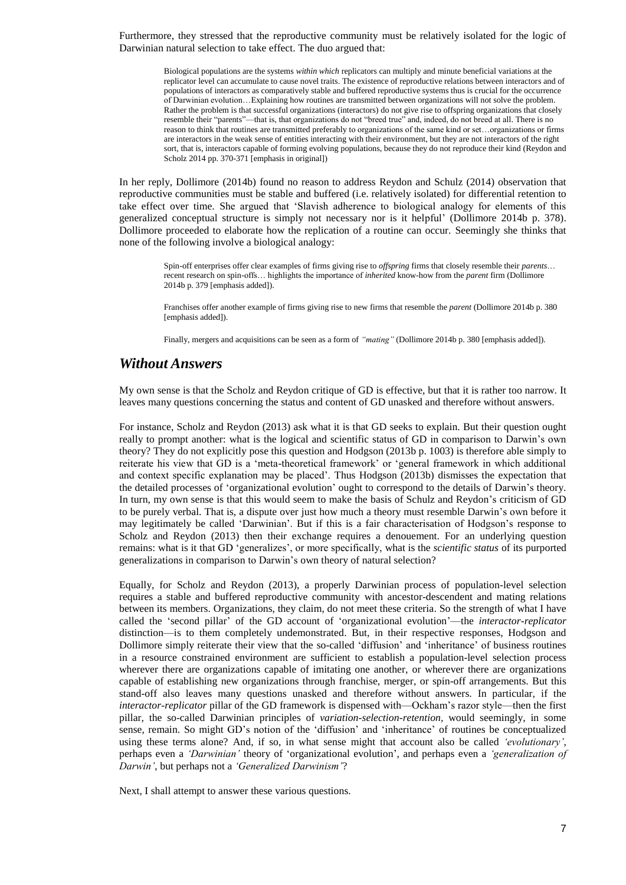Furthermore, they stressed that the reproductive community must be relatively isolated for the logic of Darwinian natural selection to take effect. The duo argued that:

Biological populations are the systems *within which* replicators can multiply and minute beneficial variations at the replicator level can accumulate to cause novel traits. The existence of reproductive relations between interactors and of populations of interactors as comparatively stable and buffered reproductive systems thus is crucial for the occurrence of Darwinian evolution…Explaining how routines are transmitted between organizations will not solve the problem. Rather the problem is that successful organizations (interactors) do not give rise to offspring organizations that closely resemble their "parents"—that is, that organizations do not "breed true" and, indeed, do not breed at all. There is no reason to think that routines are transmitted preferably to organizations of the same kind or set…organizations or firms are interactors in the weak sense of entities interacting with their environment, but they are not interactors of the right sort, that is, interactors capable of forming evolving populations, because they do not reproduce their kind (Reydon and Scholz 2014 pp. 370-371 [emphasis in original])

In her reply, Dollimore (2014b) found no reason to address Reydon and Schulz (2014) observation that reproductive communities must be stable and buffered (i.e. relatively isolated) for differential retention to take effect over time. She argued that 'Slavish adherence to biological analogy for elements of this generalized conceptual structure is simply not necessary nor is it helpful' (Dollimore 2014b p. 378). Dollimore proceeded to elaborate how the replication of a routine can occur. Seemingly she thinks that none of the following involve a biological analogy:

Spin-off enterprises offer clear examples of firms giving rise to *offspring* firms that closely resemble their *parents*… recent research on spin-offs… highlights the importance of *inherited* know-how from the *parent* firm (Dollimore 2014b p. 379 [emphasis added]).

Franchises offer another example of firms giving rise to new firms that resemble the *parent* (Dollimore 2014b p. 380 [emphasis added]).

Finally, mergers and acquisitions can be seen as a form of *"mating"* (Dollimore 2014b p. 380 [emphasis added]).

#### *Without Answers*

My own sense is that the Scholz and Reydon critique of GD is effective, but that it is rather too narrow. It leaves many questions concerning the status and content of GD unasked and therefore without answers.

For instance, Scholz and Reydon (2013) ask what it is that GD seeks to explain. But their question ought really to prompt another: what is the logical and scientific status of GD in comparison to Darwin's own theory? They do not explicitly pose this question and Hodgson (2013b p. 1003) is therefore able simply to reiterate his view that GD is a 'meta-theoretical framework' or 'general framework in which additional and context specific explanation may be placed'. Thus Hodgson (2013b) dismisses the expectation that the detailed processes of 'organizational evolution' ought to correspond to the details of Darwin's theory. In turn, my own sense is that this would seem to make the basis of Schulz and Reydon's criticism of GD to be purely verbal. That is, a dispute over just how much a theory must resemble Darwin's own before it may legitimately be called 'Darwinian'. But if this is a fair characterisation of Hodgson's response to Scholz and Reydon (2013) then their exchange requires a denouement. For an underlying question remains: what is it that GD 'generalizes', or more specifically, what is the *scientific status* of its purported generalizations in comparison to Darwin's own theory of natural selection?

Equally, for Scholz and Reydon (2013), a properly Darwinian process of population-level selection requires a stable and buffered reproductive community with ancestor-descendent and mating relations between its members. Organizations, they claim, do not meet these criteria. So the strength of what I have called the 'second pillar' of the GD account of 'organizational evolution'—the *interactor-replicator* distinction—is to them completely undemonstrated. But, in their respective responses, Hodgson and Dollimore simply reiterate their view that the so-called 'diffusion' and 'inheritance' of business routines in a resource constrained environment are sufficient to establish a population-level selection process wherever there are organizations capable of imitating one another, or wherever there are organizations capable of establishing new organizations through franchise, merger, or spin-off arrangements. But this stand-off also leaves many questions unasked and therefore without answers. In particular, if the *interactor-replicator* pillar of the GD framework is dispensed with—Ockham's razor style—then the first pillar, the so-called Darwinian principles of *variation-selection-retention,* would seemingly, in some sense, remain. So might GD's notion of the 'diffusion' and 'inheritance' of routines be conceptualized using these terms alone? And, if so, in what sense might that account also be called *'evolutionary'*, perhaps even a *'Darwinian'* theory of 'organizational evolution', and perhaps even a *'generalization of Darwin'*, but perhaps not a *'Generalized Darwinism'*?

Next, I shall attempt to answer these various questions.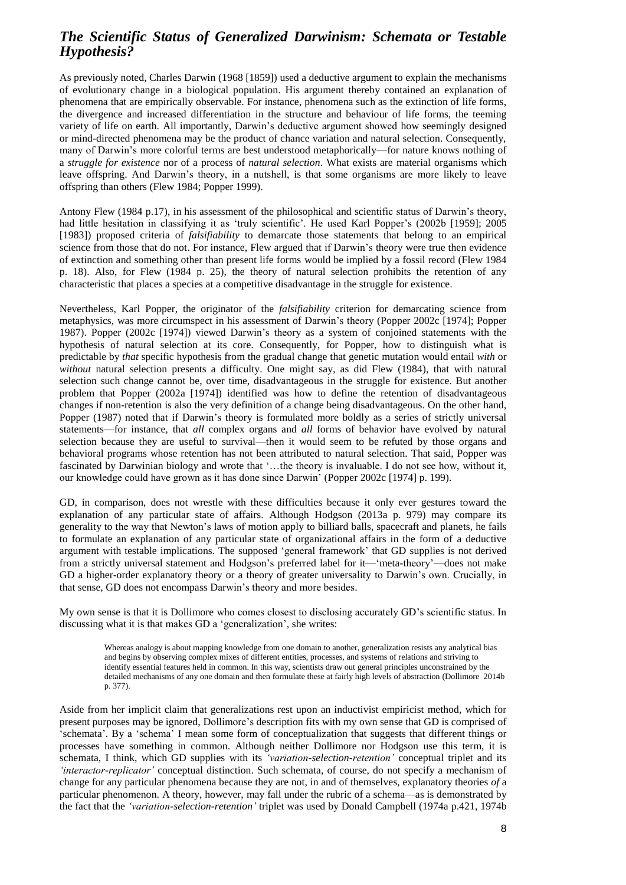## *The Scientific Status of Generalized Darwinism: Schemata or Testable Hypothesis?*

As previously noted, Charles Darwin (1968 [1859]) used a deductive argument to explain the mechanisms of evolutionary change in a biological population. His argument thereby contained an explanation of phenomena that are empirically observable. For instance, phenomena such as the extinction of life forms, the divergence and increased differentiation in the structure and behaviour of life forms, the teeming variety of life on earth. All importantly, Darwin's deductive argument showed how seemingly designed or mind-directed phenomena may be the product of chance variation and natural selection. Consequently, many of Darwin's more colorful terms are best understood metaphorically—for nature knows nothing of a *struggle for existence* nor of a process of *natural selection*. What exists are material organisms which leave offspring. And Darwin's theory, in a nutshell, is that some organisms are more likely to leave offspring than others (Flew 1984; Popper 1999).

Antony Flew (1984 p.17), in his assessment of the philosophical and scientific status of Darwin's theory, had little hesitation in classifying it as 'truly scientific'. He used Karl Popper's (2002b [1959]; 2005 [1983]) proposed criteria of *falsifiability* to demarcate those statements that belong to an empirical science from those that do not. For instance, Flew argued that if Darwin's theory were true then evidence of extinction and something other than present life forms would be implied by a fossil record (Flew 1984 p. 18). Also, for Flew (1984 p. 25), the theory of natural selection prohibits the retention of any characteristic that places a species at a competitive disadvantage in the struggle for existence.

Nevertheless, Karl Popper, the originator of the *falsifiability* criterion for demarcating science from metaphysics, was more circumspect in his assessment of Darwin's theory (Popper 2002c [1974]; Popper 1987). Popper (2002c [1974]) viewed Darwin's theory as a system of conjoined statements with the hypothesis of natural selection at its core. Consequently, for Popper, how to distinguish what is predictable by *that* specific hypothesis from the gradual change that genetic mutation would entail *with* or *without* natural selection presents a difficulty. One might say, as did Flew (1984), that with natural selection such change cannot be, over time, disadvantageous in the struggle for existence. But another problem that Popper (2002a [1974]) identified was how to define the retention of disadvantageous changes if non-retention is also the very definition of a change being disadvantageous. On the other hand, Popper (1987) noted that if Darwin's theory is formulated more boldly as a series of strictly universal statements—for instance, that *all* complex organs and *all* forms of behavior have evolved by natural selection because they are useful to survival—then it would seem to be refuted by those organs and behavioral programs whose retention has not been attributed to natural selection. That said, Popper was fascinated by Darwinian biology and wrote that '…the theory is invaluable. I do not see how, without it, our knowledge could have grown as it has done since Darwin' (Popper 2002c [1974] p. 199).

GD, in comparison, does not wrestle with these difficulties because it only ever gestures toward the explanation of any particular state of affairs. Although Hodgson (2013a p. 979) may compare its generality to the way that Newton's laws of motion apply to billiard balls, spacecraft and planets, he fails to formulate an explanation of any particular state of organizational affairs in the form of a deductive argument with testable implications. The supposed 'general framework' that GD supplies is not derived from a strictly universal statement and Hodgson's preferred label for it—'meta-theory'—does not make GD a higher-order explanatory theory or a theory of greater universality to Darwin's own. Crucially, in that sense, GD does not encompass Darwin's theory and more besides.

My own sense is that it is Dollimore who comes closest to disclosing accurately GD's scientific status. In discussing what it is that makes GD a 'generalization', she writes:

Whereas analogy is about mapping knowledge from one domain to another, generalization resists any analytical bias and begins by observing complex mixes of different entities, processes, and systems of relations and striving to identify essential features held in common. In this way, scientists draw out general principles unconstrained by the detailed mechanisms of any one domain and then formulate these at fairly high levels of abstraction (Dollimore 2014b p. 377).

Aside from her implicit claim that generalizations rest upon an inductivist empiricist method, which for present purposes may be ignored, Dollimore's description fits with my own sense that GD is comprised of 'schemata'. By a 'schema' I mean some form of conceptualization that suggests that different things or processes have something in common. Although neither Dollimore nor Hodgson use this term, it is schemata, I think, which GD supplies with its *'variation-selection-retention'* conceptual triplet and its *'interactor-replicator'* conceptual distinction. Such schemata, of course, do not specify a mechanism of change for any particular phenomena because they are not, in and of themselves, explanatory theories *of* a particular phenomenon. A theory, however, may fall under the rubric of a schema—as is demonstrated by the fact that the *'variation-selection-retention'* triplet was used by Donald Campbell (1974a p.421, 1974b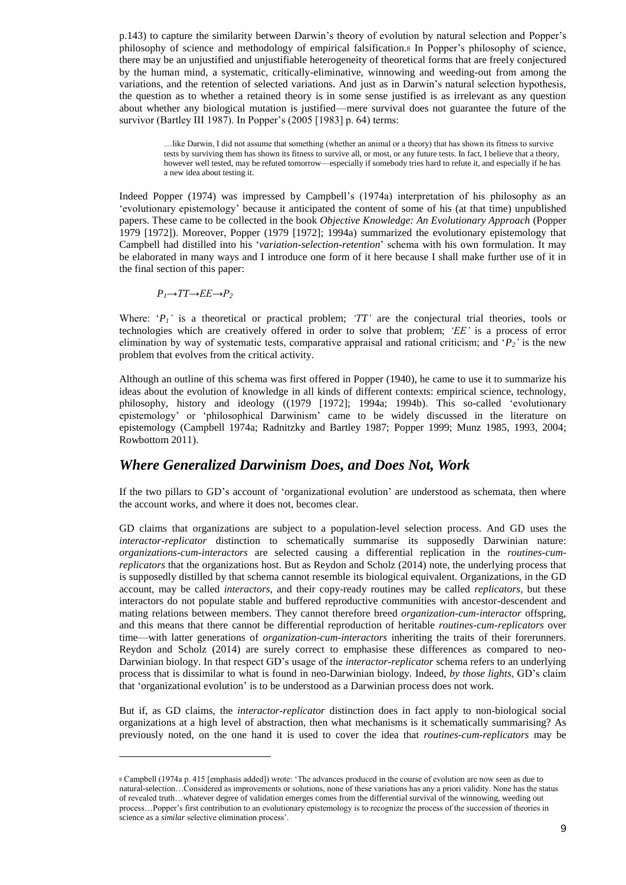p.143) to capture the similarity between Darwin's theory of evolution by natural selection and Popper's philosophy of science and methodology of empirical falsification.<sup>8</sup> In Popper's philosophy of science, there may be an unjustified and unjustifiable heterogeneity of theoretical forms that are freely conjectured by the human mind, a systematic, critically-eliminative, winnowing and weeding-out from among the variations, and the retention of selected variations. And just as in Darwin's natural selection hypothesis, the question as to whether a retained theory is in some sense justified is as irrelevant as any question about whether any biological mutation is justified—mere survival does not guarantee the future of the survivor (Bartley III 1987). In Popper's (2005 [1983] p. 64) terms:

…like Darwin, I did not assume that something (whether an animal or a theory) that has shown its fitness to survive tests by surviving them has shown its fitness to survive all, or most, or any future tests. In fact, I believe that a theory, however well tested, may be refuted tomorrow—especially if somebody tries hard to refute it, and especially if he has a new idea about testing it.

Indeed Popper (1974) was impressed by Campbell's (1974a) interpretation of his philosophy as an 'evolutionary epistemology' because it anticipated the content of some of his (at that time) unpublished papers. These came to be collected in the book *Objective Knowledge: An Evolutionary Approach* (Popper 1979 [1972]). Moreover, Popper (1979 [1972]; 1994a) summarized the evolutionary epistemology that Campbell had distilled into his '*variation-selection-retention*' schema with his own formulation. It may be elaborated in many ways and I introduce one form of it here because I shall make further use of it in the final section of this paper:

 $P_1 \rightarrow TT \rightarrow EE \rightarrow P_2$ 

l

Where:  $P_I'$  is a theoretical or practical problem; *'TT'* are the conjectural trial theories, tools or technologies which are creatively offered in order to solve that problem; *'EE'* is a process of error elimination by way of systematic tests, comparative appraisal and rational criticism; and '*P2'* is the new problem that evolves from the critical activity.

Although an outline of this schema was first offered in Popper (1940), he came to use it to summarize his ideas about the evolution of knowledge in all kinds of different contexts: empirical science, technology, philosophy, history and ideology ((1979 [1972]; 1994a; 1994b). This so-called 'evolutionary epistemology' or 'philosophical Darwinism' came to be widely discussed in the literature on epistemology (Campbell 1974a; Radnitzky and Bartley 1987; Popper 1999; Munz 1985, 1993, 2004; Rowbottom 2011).

## *Where Generalized Darwinism Does, and Does Not, Work*

If the two pillars to GD's account of 'organizational evolution' are understood as schemata, then where the account works, and where it does not, becomes clear.

GD claims that organizations are subject to a population-level selection process. And GD uses the *interactor-replicator* distinction to schematically summarise its supposedly Darwinian nature: *organizations-cum-interactors* are selected causing a differential replication in the *routines-cumreplicators* that the organizations host. But as Reydon and Scholz (2014) note, the underlying process that is supposedly distilled by that schema cannot resemble its biological equivalent. Organizations, in the GD account, may be called *interactors*, and their copy-ready routines may be called *replicators*, but these interactors do not populate stable and buffered reproductive communities with ancestor-descendent and mating relations between members. They cannot therefore breed *organization-cum-interactor* offspring, and this means that there cannot be differential reproduction of heritable *routines-cum-replicators* over time—with latter generations of *organization-cum-interactors* inheriting the traits of their forerunners. Reydon and Scholz (2014) are surely correct to emphasise these differences as compared to neo-Darwinian biology. In that respect GD's usage of the *interactor-replicator* schema refers to an underlying process that is dissimilar to what is found in neo-Darwinian biology. Indeed, *by those lights*, GD's claim that 'organizational evolution' is to be understood as a Darwinian process does not work.

But if, as GD claims, the *interactor-replicator* distinction does in fact apply to non-biological social organizations at a high level of abstraction, then what mechanisms is it schematically summarising? As previously noted, on the one hand it is used to cover the idea that *routines-cum-replicators* may be

<sup>8</sup> Campbell (1974a p. 415 [emphasis added]) wrote: 'The advances produced in the course of evolution are now seen as due to natural-selection…Considered as improvements or solutions, none of these variations has any a priori validity. None has the status of revealed truth…whatever degree of validation emerges comes from the differential survival of the winnowing, weeding out process…Popper's first contribution to an evolutionary epistemology is to recognize the process of the succession of theories in science as a *similar* selective elimination process'.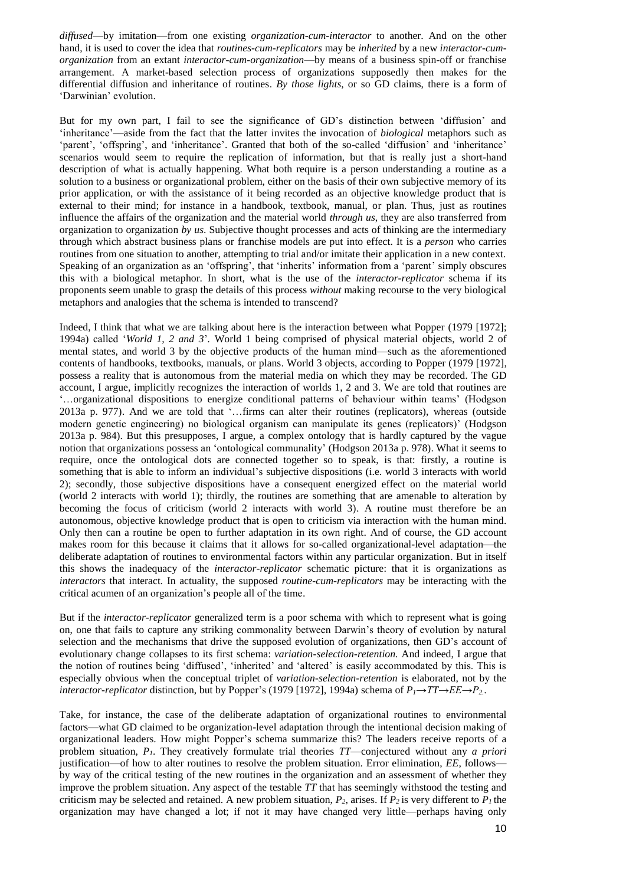*diffused*—by imitation—from one existing *organization-cum-interactor* to another. And on the other hand, it is used to cover the idea that *routines-cum-replicators* may be *inherited* by a new *interactor-cumorganization* from an extant *interactor-cum-organization*—by means of a business spin-off or franchise arrangement. A market-based selection process of organizations supposedly then makes for the differential diffusion and inheritance of routines. *By those lights*, or so GD claims, there is a form of 'Darwinian' evolution.

But for my own part, I fail to see the significance of GD's distinction between 'diffusion' and 'inheritance'—aside from the fact that the latter invites the invocation of *biological* metaphors such as 'parent', 'offspring', and 'inheritance'. Granted that both of the so-called 'diffusion' and 'inheritance' scenarios would seem to require the replication of information, but that is really just a short-hand description of what is actually happening. What both require is a person understanding a routine as a solution to a business or organizational problem, either on the basis of their own subjective memory of its prior application, or with the assistance of it being recorded as an objective knowledge product that is external to their mind; for instance in a handbook, textbook, manual, or plan. Thus, just as routines influence the affairs of the organization and the material world *through us*, they are also transferred from organization to organization *by us*. Subjective thought processes and acts of thinking are the intermediary through which abstract business plans or franchise models are put into effect. It is a *person* who carries routines from one situation to another, attempting to trial and/or imitate their application in a new context. Speaking of an organization as an 'offspring', that 'inherits' information from a 'parent' simply obscures this with a biological metaphor. In short, what is the use of the *interactor-replicator* schema if its proponents seem unable to grasp the details of this process *without* making recourse to the very biological metaphors and analogies that the schema is intended to transcend?

Indeed, I think that what we are talking about here is the interaction between what Popper (1979 [1972]; 1994a) called '*World 1, 2 and 3*'*.* World 1 being comprised of physical material objects, world 2 of mental states, and world 3 by the objective products of the human mind—such as the aforementioned contents of handbooks, textbooks, manuals, or plans. World 3 objects, according to Popper (1979 [1972], possess a reality that is autonomous from the material media on which they may be recorded. The GD account, I argue, implicitly recognizes the interaction of worlds 1, 2 and 3. We are told that routines are '…organizational dispositions to energize conditional patterns of behaviour within teams' (Hodgson 2013a p. 977). And we are told that '…firms can alter their routines (replicators), whereas (outside modern genetic engineering) no biological organism can manipulate its genes (replicators)' (Hodgson 2013a p. 984). But this presupposes, I argue, a complex ontology that is hardly captured by the vague notion that organizations possess an 'ontological communality' (Hodgson 2013a p. 978). What it seems to require, once the ontological dots are connected together so to speak, is that: firstly, a routine is something that is able to inform an individual's subjective dispositions (i.e. world 3 interacts with world 2); secondly, those subjective dispositions have a consequent energized effect on the material world (world 2 interacts with world 1); thirdly, the routines are something that are amenable to alteration by becoming the focus of criticism (world 2 interacts with world 3). A routine must therefore be an autonomous, objective knowledge product that is open to criticism via interaction with the human mind. Only then can a routine be open to further adaptation in its own right. And of course, the GD account makes room for this because it claims that it allows for so-called organizational-level adaptation—the deliberate adaptation of routines to environmental factors within any particular organization. But in itself this shows the inadequacy of the *interactor-replicator* schematic picture: that it is organizations as *interactors* that interact. In actuality, the supposed *routine-cum-replicators* may be interacting with the critical acumen of an organization's people all of the time.

But if the *interactor-replicator* generalized term is a poor schema with which to represent what is going on, one that fails to capture any striking commonality between Darwin's theory of evolution by natural selection and the mechanisms that drive the supposed evolution of organizations, then GD's account of evolutionary change collapses to its first schema: *variation-selection-retention.* And indeed, I argue that the notion of routines being 'diffused', 'inherited' and 'altered' is easily accommodated by this. This is especially obvious when the conceptual triplet of *variation-selection-retention* is elaborated, not by the *interactor-replicator* distinction, but by Popper's (1979 [1972], 1994a) schema of *P1→TT→EE→P2.*.

Take, for instance, the case of the deliberate adaptation of organizational routines to environmental factors—what GD claimed to be organization-level adaptation through the intentional decision making of organizational leaders. How might Popper's schema summarize this? The leaders receive reports of a problem situation, *P1*. They creatively formulate trial theories *TT*—conjectured without any *a priori* justification—of how to alter routines to resolve the problem situation. Error elimination, *EE*, follows by way of the critical testing of the new routines in the organization and an assessment of whether they improve the problem situation. Any aspect of the testable *TT* that has seemingly withstood the testing and criticism may be selected and retained. A new problem situation,  $P_2$ , arises. If  $P_2$  is very different to  $P_1$  the organization may have changed a lot; if not it may have changed very little—perhaps having only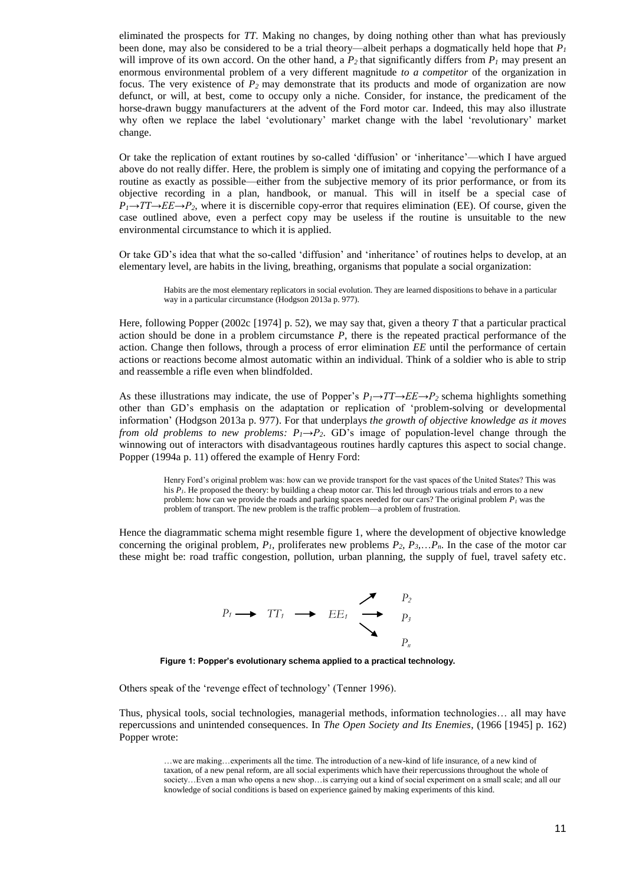eliminated the prospects for *TT*. Making no changes, by doing nothing other than what has previously been done, may also be considered to be a trial theory—albeit perhaps a dogmatically held hope that *P<sup>1</sup>* will improve of its own accord. On the other hand, a  $P_2$  that significantly differs from  $P_1$  may present an enormous environmental problem of a very different magnitude *to a competitor* of the organization in focus. The very existence of *P2* may demonstrate that its products and mode of organization are now defunct, or will, at best, come to occupy only a niche. Consider, for instance, the predicament of the horse-drawn buggy manufacturers at the advent of the Ford motor car. Indeed, this may also illustrate why often we replace the label 'evolutionary' market change with the label 'revolutionary' market change.

Or take the replication of extant routines by so-called 'diffusion' or 'inheritance'—which I have argued above do not really differ. Here, the problem is simply one of imitating and copying the performance of a routine as exactly as possible—either from the subjective memory of its prior performance, or from its objective recording in a plan, handbook, or manual. This will in itself be a special case of  $P_I \rightarrow TT \rightarrow EE \rightarrow P_2$ , where it is discernible copy-error that requires elimination (EE). Of course, given the case outlined above, even a perfect copy may be useless if the routine is unsuitable to the new environmental circumstance to which it is applied.

Or take GD's idea that what the so-called 'diffusion' and 'inheritance' of routines helps to develop, at an elementary level, are habits in the living, breathing, organisms that populate a social organization:

Habits are the most elementary replicators in social evolution. They are learned dispositions to behave in a particular way in a particular circumstance (Hodgson 2013a p. 977).

Here, following Popper (2002c [1974] p. 52), we may say that, given a theory *T* that a particular practical action should be done in a problem circumstance *P*, there is the repeated practical performance of the action. Change then follows, through a process of error elimination *EE* until the performance of certain actions or reactions become almost automatic within an individual. Think of a soldier who is able to strip and reassemble a rifle even when blindfolded.

As these illustrations may indicate, the use of Popper's  $P_I \rightarrow TT \rightarrow EE \rightarrow P_2$  schema highlights something other than GD's emphasis on the adaptation or replication of 'problem-solving or developmental information' (Hodgson 2013a p. 977). For that underplays *the growth of objective knowledge as it moves from old problems to new problems:*  $P_1 \rightarrow P_2$ . GD's image of population-level change through the winnowing out of interactors with disadvantageous routines hardly captures this aspect to social change. Popper (1994a p. 11) offered the example of Henry Ford:

Henry Ford's original problem was: how can we provide transport for the vast spaces of the United States? This was his *P*<sub>1</sub>. He proposed the theory: by building a cheap motor car. This led through various trials and errors to a new problem: how can we provide the roads and parking spaces needed for our cars? The original problem  $P_I$  was the problem of transport. The new problem is the traffic problem—a problem of frustration.

Hence the diagrammatic schema might resemble figure 1, where the development of objective knowledge concerning the original problem,  $P_1$ , proliferates new problems  $P_2$ ,  $P_3$ ,… $P_n$ . In the case of the motor car these might be: road traffic congestion, pollution, urban planning, the supply of fuel, travel safety etc.



**Figure 1: Popper's evolutionary schema applied to a practical technology.**

Others speak of the 'revenge effect of technology' (Tenner 1996).

Thus, physical tools, social technologies, managerial methods, information technologies… all may have repercussions and unintended consequences. In *The Open Society and Its Enemies*, (1966 [1945] p. 162) Popper wrote:

…we are making…experiments all the time. The introduction of a new-kind of life insurance, of a new kind of taxation, of a new penal reform, are all social experiments which have their repercussions throughout the whole of society…Even a man who opens a new shop…is carrying out a kind of social experiment on a small scale; and all our knowledge of social conditions is based on experience gained by making experiments of this kind.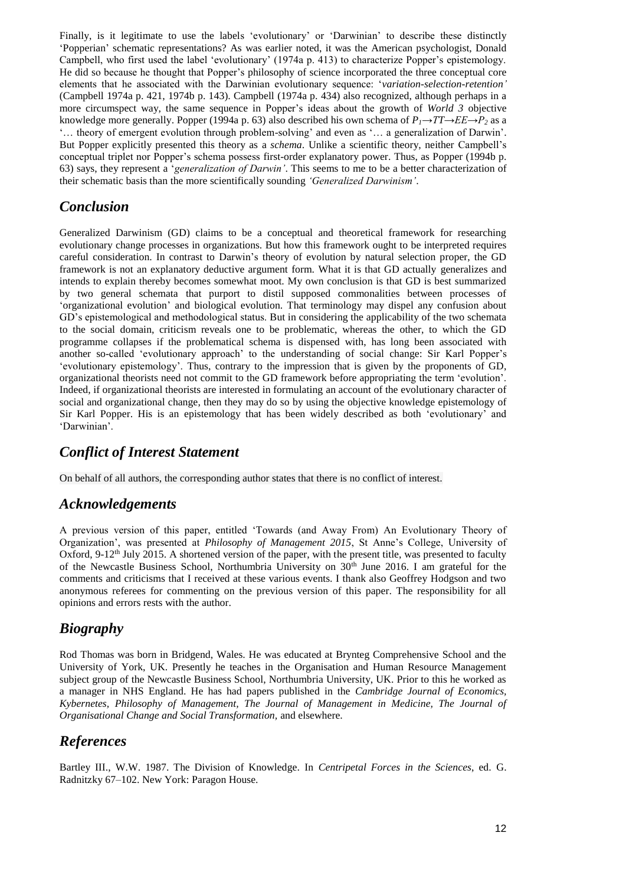Finally, is it legitimate to use the labels 'evolutionary' or 'Darwinian' to describe these distinctly 'Popperian' schematic representations? As was earlier noted, it was the American psychologist, Donald Campbell, who first used the label 'evolutionary' (1974a p. 413) to characterize Popper's epistemology. He did so because he thought that Popper's philosophy of science incorporated the three conceptual core elements that he associated with the Darwinian evolutionary sequence: '*variation-selection-retention'* (Campbell 1974a p. 421, 1974b p. 143). Campbell (1974a p. 434) also recognized, although perhaps in a more circumspect way, the same sequence in Popper's ideas about the growth of *World 3* objective knowledge more generally. Popper (1994a p. 63) also described his own schema of *P1→TT→EE→P<sup>2</sup>* as a '… theory of emergent evolution through problem-solving' and even as '… a generalization of Darwin'. But Popper explicitly presented this theory as a *schema*. Unlike a scientific theory, neither Campbell's conceptual triplet nor Popper's schema possess first-order explanatory power. Thus, as Popper (1994b p. 63) says, they represent a '*generalization of Darwin'*. This seems to me to be a better characterization of their schematic basis than the more scientifically sounding *'Generalized Darwinism'*.

## *Conclusion*

Generalized Darwinism (GD) claims to be a conceptual and theoretical framework for researching evolutionary change processes in organizations. But how this framework ought to be interpreted requires careful consideration. In contrast to Darwin's theory of evolution by natural selection proper, the GD framework is not an explanatory deductive argument form. What it is that GD actually generalizes and intends to explain thereby becomes somewhat moot. My own conclusion is that GD is best summarized by two general schemata that purport to distil supposed commonalities between processes of 'organizational evolution' and biological evolution. That terminology may dispel any confusion about GD's epistemological and methodological status. But in considering the applicability of the two schemata to the social domain, criticism reveals one to be problematic, whereas the other, to which the GD programme collapses if the problematical schema is dispensed with, has long been associated with another so-called 'evolutionary approach' to the understanding of social change: Sir Karl Popper's 'evolutionary epistemology'. Thus, contrary to the impression that is given by the proponents of GD, organizational theorists need not commit to the GD framework before appropriating the term 'evolution'. Indeed, if organizational theorists are interested in formulating an account of the evolutionary character of social and organizational change, then they may do so by using the objective knowledge epistemology of Sir Karl Popper. His is an epistemology that has been widely described as both 'evolutionary' and 'Darwinian'.

# *Conflict of Interest Statement*

On behalf of all authors, the corresponding author states that there is no conflict of interest.

# *Acknowledgements*

A previous version of this paper, entitled 'Towards (and Away From) An Evolutionary Theory of Organization', was presented at *Philosophy of Management 2015*, St Anne's College, University of Oxford,  $9-12<sup>th</sup>$  July 2015. A shortened version of the paper, with the present title, was presented to faculty of the Newcastle Business School, Northumbria University on 30<sup>th</sup> June 2016. I am grateful for the comments and criticisms that I received at these various events. I thank also Geoffrey Hodgson and two anonymous referees for commenting on the previous version of this paper. The responsibility for all opinions and errors rests with the author.

# *Biography*

Rod Thomas was born in Bridgend, Wales. He was educated at Brynteg Comprehensive School and the University of York, UK. Presently he teaches in the Organisation and Human Resource Management subject group of the Newcastle Business School, Northumbria University, UK. Prior to this he worked as a manager in NHS England. He has had papers published in the *Cambridge Journal of Economics, Kybernetes, Philosophy of Management, The Journal of Management in Medicine, The Journal of Organisational Change and Social Transformation,* and elsewhere.

# *References*

Bartley III., W.W. 1987. The Division of Knowledge. In *Centripetal Forces in the Sciences*, ed. G. Radnitzky 67–102. New York: Paragon House.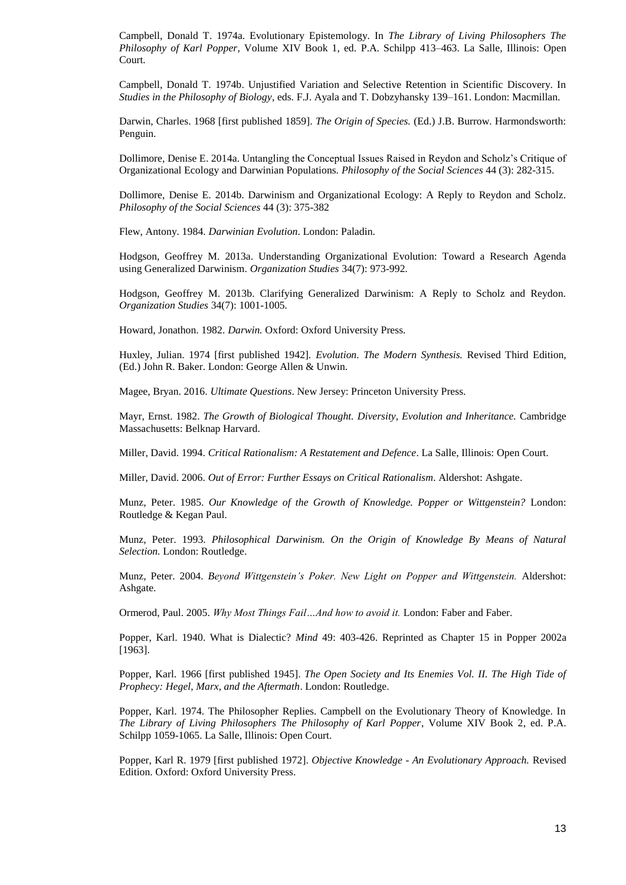Campbell, Donald T. 1974a. Evolutionary Epistemology. In *The Library of Living Philosophers The Philosophy of Karl Popper*, Volume XIV Book 1, ed. P.A. Schilpp 413–463. La Salle, Illinois: Open Court.

Campbell, Donald T. 1974b. Unjustified Variation and Selective Retention in Scientific Discovery. In *Studies in the Philosophy of Biology*, eds. F.J. Ayala and T. Dobzyhansky 139–161. London: Macmillan.

Darwin, Charles. 1968 [first published 1859]. *The Origin of Species.* (Ed.) J.B. Burrow. Harmondsworth: Penguin.

Dollimore, Denise E. 2014a. Untangling the Conceptual Issues Raised in Reydon and Scholz's Critique of Organizational Ecology and Darwinian Populations. *Philosophy of the Social Sciences* 44 (3): 282-315.

Dollimore, [Denise E. 2](http://oss.sagepub.com/search?author1=Geoffrey+M.+Hodgson&sortspec=date&submit=Submit)014b. Darwinism and Organizational Ecology: A Reply to Reydon and Scholz. *Philosophy of the Social Sciences* 44 (3): 375-382

Flew, Antony. 1984. *Darwinian Evolution*. London: Paladin.

Hodgson, Geoffrey M. 2013a. Understanding Organizational Evolution: Toward a Research Agenda using Generalized Darwinism. *Organization Studies* 34(7): 973-992*.*

Hodgson, Geoffrey M. 2013b. Clarifying Generalized Darwinism: A Reply to Scholz and Reydon. *Organization Studies* 34(7): 1001-1005*.*

Howard, Jonathon. 1982. *Darwin.* Oxford: Oxford University Press.

Huxley, Julian. 1974 [first published 1942]. *Evolution. The Modern Synthesis.* Revised Third Edition, (Ed.) John R. Baker. London: George Allen & Unwin.

Magee, Bryan. 2016. *Ultimate Questions*. New Jersey: Princeton University Press.

Mayr, Ernst. 1982. *The Growth of Biological Thought. Diversity, Evolution and Inheritance.* Cambridge Massachusetts: Belknap Harvard.

Miller, David. 1994. *Critical Rationalism: A Restatement and Defence*. La Salle, Illinois: Open Court.

Miller, David. 2006. *Out of Error: Further Essays on Critical Rationalism*. Aldershot: Ashgate.

Munz, Peter. 1985. *Our Knowledge of the Growth of Knowledge. Popper or Wittgenstein?* London: Routledge & Kegan Paul.

Munz, Peter. 1993. *Philosophical Darwinism. On the Origin of Knowledge By Means of Natural Selection.* London: Routledge.

Munz, Peter. 2004. *Beyond Wittgenstein's Poker. New Light on Popper and Wittgenstein.* Aldershot: Ashgate.

Ormerod, Paul. 2005. *Why Most Things Fail…And how to avoid it.* London: Faber and Faber.

Popper, Karl. 1940. What is Dialectic? *Mind* 49: 403-426. Reprinted as Chapter 15 in Popper 2002a [1963].

Popper, Karl. 1966 [first published 1945]. *The Open Society and Its Enemies Vol. II. The High Tide of Prophecy: Hegel, Marx, and the Aftermath*. London: Routledge.

Popper, Karl. 1974. The Philosopher Replies. Campbell on the Evolutionary Theory of Knowledge. In *The Library of Living Philosophers The Philosophy of Karl Popper*, Volume XIV Book 2, ed. P.A. Schilpp 1059-1065. La Salle, Illinois: Open Court.

Popper, Karl R. 1979 [first published 1972]. *Objective Knowledge - An Evolutionary Approach.* Revised Edition. Oxford: Oxford University Press.